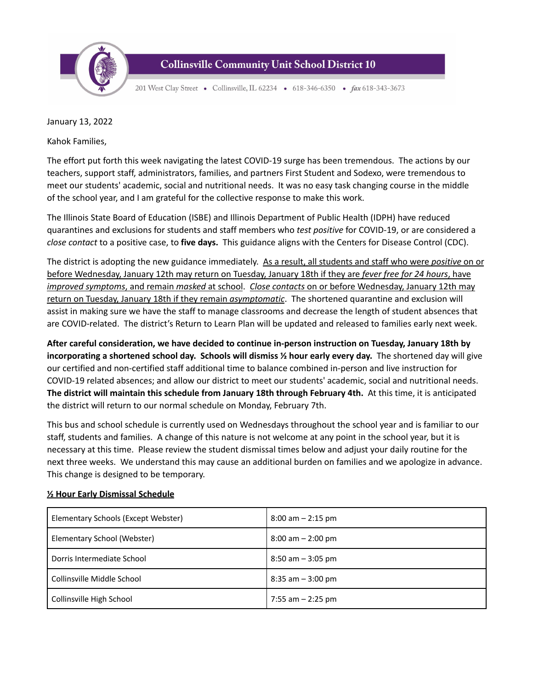

## **Collinsville Community Unit School District 10**

201 West Clay Street • Collinsville, IL 62234 • 618-346-6350 • fax 618-343-3673

January 13, 2022

Kahok Families,

The effort put forth this week navigating the latest COVID-19 surge has been tremendous. The actions by our teachers, support staff, administrators, families, and partners First Student and Sodexo, were tremendous to meet our students' academic, social and nutritional needs. It was no easy task changing course in the middle of the school year, and I am grateful for the collective response to make this work.

The Illinois State Board of Education (ISBE) and Illinois Department of Public Health (IDPH) have reduced quarantines and exclusions for students and staff members who *test positive* for COVID-19, or are considered a *close contact* to a positive case, to **five days.** This guidance aligns with the Centers for Disease Control (CDC).

The district is adopting the new guidance immediately. As a result, all students and staff who were *positive* on or before Wednesday, January 12th may return on Tuesday, January 18th if they are *fever free for 24 hours*, have *improved symptoms*, and remain *masked* at school. *Close contacts* on or before Wednesday, January 12th may return on Tuesday, January 18th if they remain *asymptomatic*. The shortened quarantine and exclusion will assist in making sure we have the staff to manage classrooms and decrease the length of student absences that are COVID-related. The district's Return to Learn Plan will be updated and released to families early next week.

**After careful consideration, we have decided to continue in-person instruction on Tuesday, January 18th by incorporating a shortened school day. Schools will dismiss ½ hour early every day.** The shortened day will give our certified and non-certified staff additional time to balance combined in-person and live instruction for COVID-19 related absences; and allow our district to meet our students' academic, social and nutritional needs. **The district will maintain this schedule from January 18th through February 4th.** At this time, it is anticipated the district will return to our normal schedule on Monday, February 7th.

This bus and school schedule is currently used on Wednesdays throughout the school year and is familiar to our staff, students and families. A change of this nature is not welcome at any point in the school year, but it is necessary at this time. Please review the student dismissal times below and adjust your daily routine for the next three weeks. We understand this may cause an additional burden on families and we apologize in advance. This change is designed to be temporary.

| Elementary Schools (Except Webster) | $8:00$ am $-2:15$ pm  |
|-------------------------------------|-----------------------|
| Elementary School (Webster)         | $8:00$ am $- 2:00$ pm |
| Dorris Intermediate School          | $8:50$ am $-3:05$ pm  |
| Collinsville Middle School          | $8:35$ am $-3:00$ pm  |
| Collinsville High School            | 7:55 am $-$ 2:25 pm   |

## **½ Hour Early Dismissal Schedule**